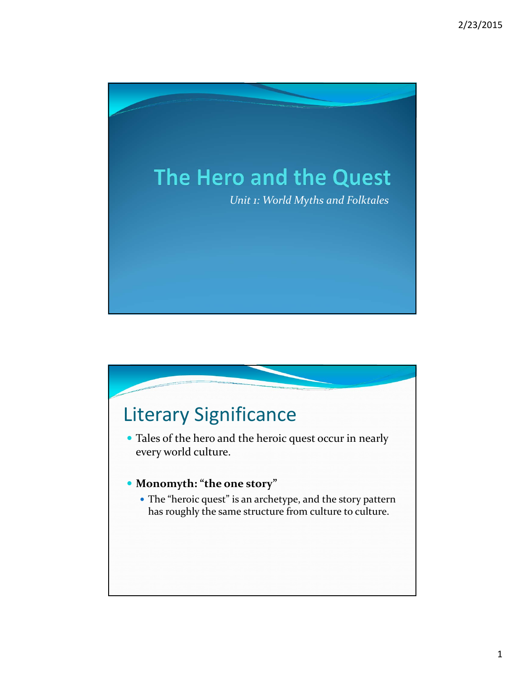

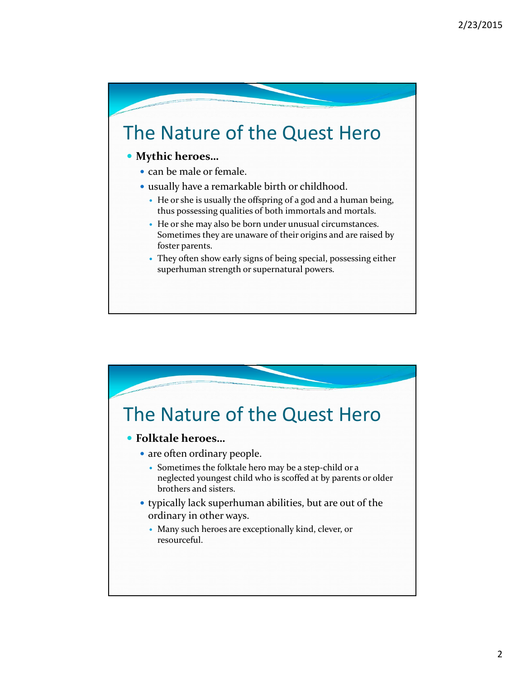# The Nature of the Quest Hero

### **• Mythic heroes...**

- can be male or female.
- usually have a remarkable birth or childhood.
	- y He or she is usually the offspring of a god and a human being, thus possessing qualities of both immortals and mortals.
	- y He or she may also be born under unusual circumstances. Sometimes they are unaware of their origins and are raised by foster parents.
	- They often show early signs of being special, possessing either superhuman strength or supernatural powers.

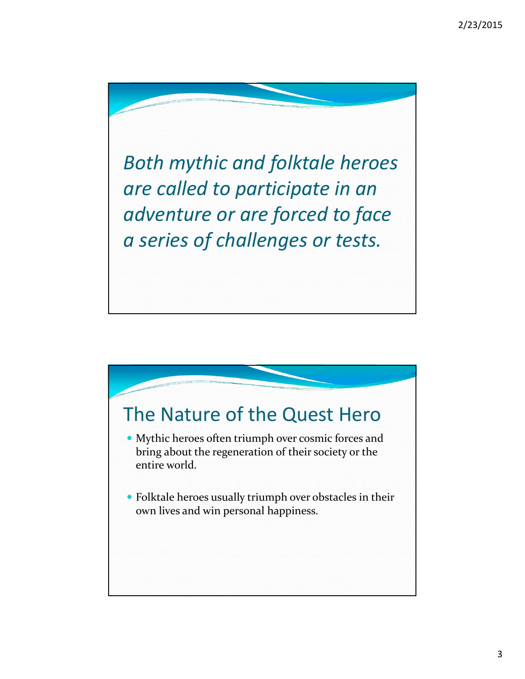*Both mythic and folktale heroes are called to participate in an adventure or are forced to face a series of challenges or tests.*

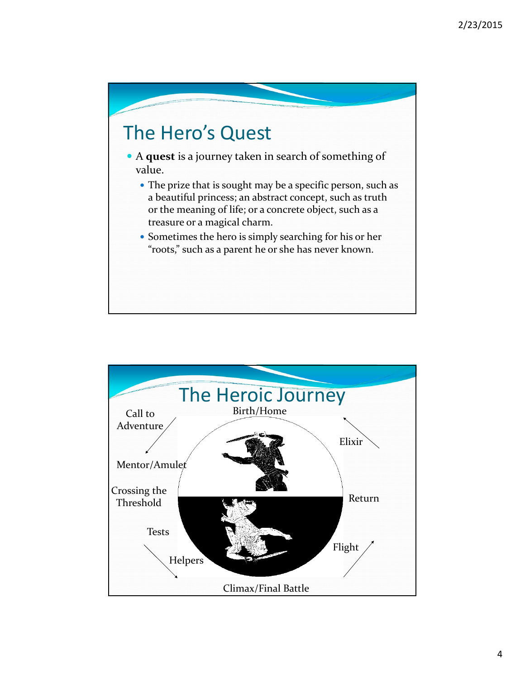

- y A **quest** is a journey taken in search of something of value.
	- The prize that is sought may be a specific person, such as a beautiful princess; an abstract concept, such as truth or the meaning of life; or a concrete object, such as a treasure or a magical charm.
	- Sometimes the hero is simply searching for his or her "roots," such as a parent he or she has never known.

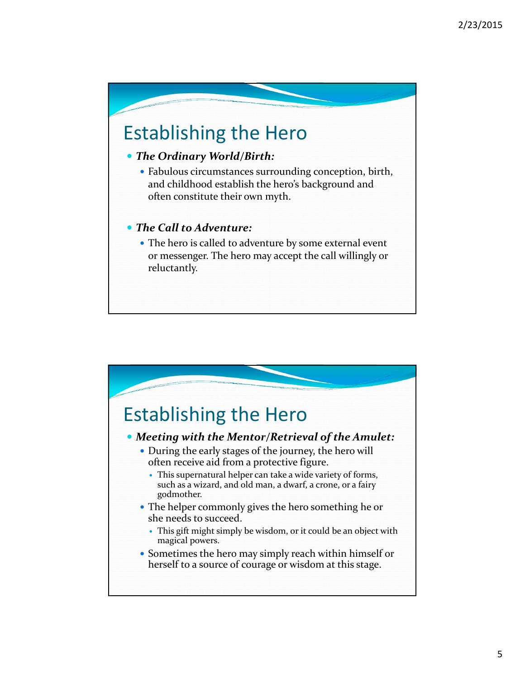# Establishing the Hero

### y *The Ordinary World/Birth:*

• Fabulous circumstances surrounding conception, birth, and childhood establish the hero's background and often constitute their own myth.

#### y *The Call to Adventure:*

• The hero is called to adventure by some external event or messenger. The hero may accept the call willingly or reluctantly.

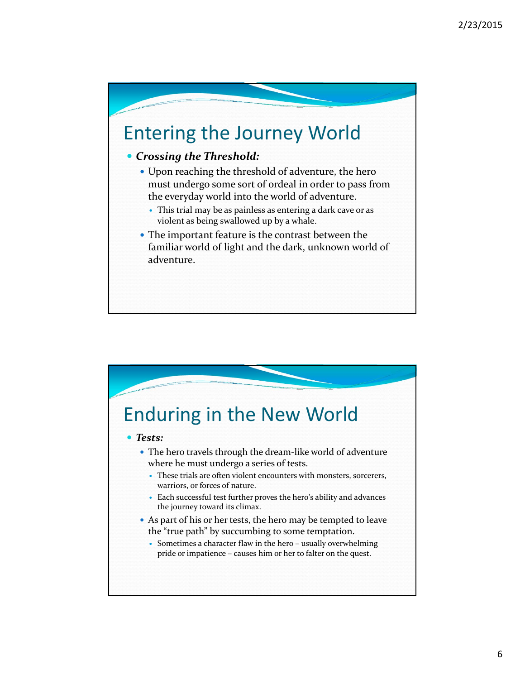

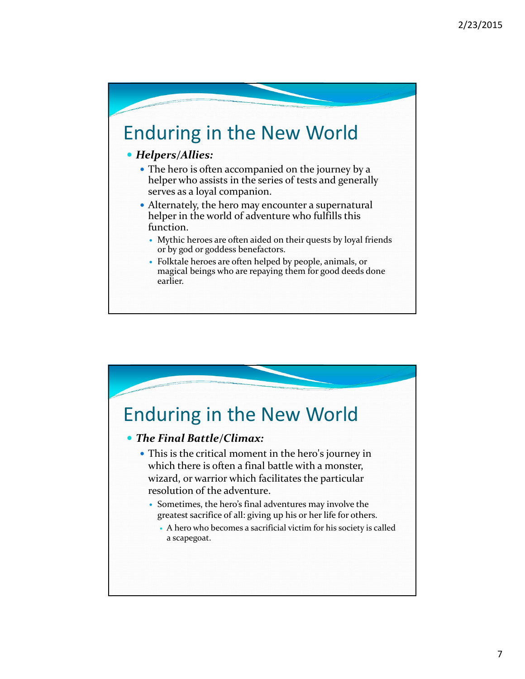

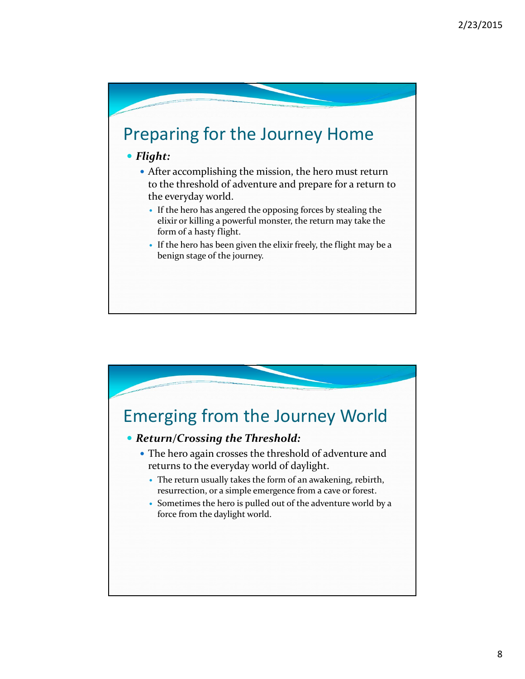